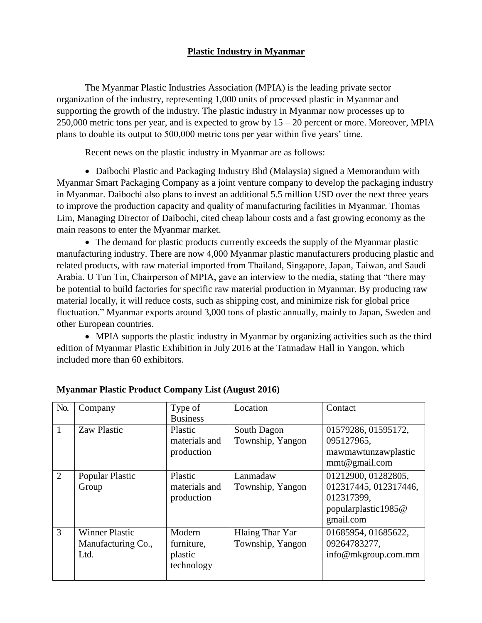## **Plastic Industry in Myanmar**

The Myanmar Plastic Industries Association (MPIA) is the leading private sector organization of the industry, representing 1,000 units of processed plastic in Myanmar and supporting the growth of the industry. The plastic industry in Myanmar now processes up to 250,000 metric tons per year, and is expected to grow by  $15 - 20$  percent or more. Moreover, MPIA plans to double its output to 500,000 metric tons per year within five years' time.

Recent news on the plastic industry in Myanmar are as follows:

 Daibochi Plastic and Packaging Industry Bhd (Malaysia) signed a Memorandum with Myanmar Smart Packaging Company as a joint venture company to develop the packaging industry in Myanmar. Daibochi also plans to invest an additional 5.5 million USD over the next three years to improve the production capacity and quality of manufacturing facilities in Myanmar. Thomas Lim, Managing Director of Daibochi, cited cheap labour costs and a fast growing economy as the main reasons to enter the Myanmar market.

• The demand for plastic products currently exceeds the supply of the Myanmar plastic manufacturing industry. There are now 4,000 Myanmar plastic manufacturers producing plastic and related products, with raw material imported from Thailand, Singapore, Japan, Taiwan, and Saudi Arabia. U Tun Tin, Chairperson of MPIA, gave an interview to the media, stating that "there may be potential to build factories for specific raw material production in Myanmar. By producing raw material locally, it will reduce costs, such as shipping cost, and minimize risk for global price fluctuation." Myanmar exports around 3,000 tons of plastic annually, mainly to Japan, Sweden and other European countries.

 MPIA supports the plastic industry in Myanmar by organizing activities such as the third edition of Myanmar Plastic Exhibition in July 2016 at the Tatmadaw Hall in Yangon, which included more than 60 exhibitors.

| No.            | Company                                             | Type of<br><b>Business</b>                    | Location                            | Contact                                                                                        |
|----------------|-----------------------------------------------------|-----------------------------------------------|-------------------------------------|------------------------------------------------------------------------------------------------|
| $\mathbf{1}$   | <b>Zaw Plastic</b>                                  | Plastic<br>materials and<br>production        | South Dagon<br>Township, Yangon     | 01579286, 01595172,<br>095127965,<br>mawmawtunzawplastic<br>mmt@gmail.com                      |
| $\overline{2}$ | Popular Plastic<br>Group                            | Plastic<br>materials and<br>production        | Lanmadaw<br>Township, Yangon        | 01212900, 01282805,<br>012317445, 012317446,<br>012317399,<br>popularplastic1985@<br>gmail.com |
| 3              | <b>Winner Plastic</b><br>Manufacturing Co.,<br>Ltd. | Modern<br>furniture,<br>plastic<br>technology | Hlaing Thar Yar<br>Township, Yangon | 01685954, 01685622,<br>09264783277,<br>info@mkgroup.com.mm                                     |

## **Myanmar Plastic Product Company List (August 2016)**